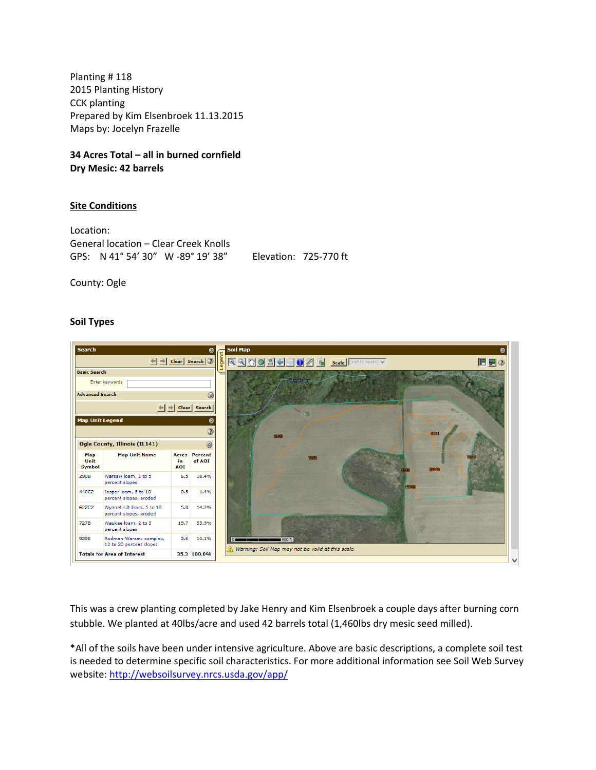Planting # 118 2015 Planting History CCK planting Prepared by Kim Elsenbroek 11.13.2015 Maps by: Jocelyn Frazelle

**34 Acres Total – all in burned cornfield Dry Mesic: 42 barrels** 

# **Site Conditions**

Location: General location – Clear Creek Knolls GPS: N 41° 54' 30" W ‐89° 19' 38" Elevation: 725‐770 ft

County: Ogle

## **Soil Types**



This was a crew planting completed by Jake Henry and Kim Elsenbroek a couple days after burning corn stubble. We planted at 40lbs/acre and used 42 barrels total (1,460lbs dry mesic seed milled).

\*All of the soils have been under intensive agriculture. Above are basic descriptions, a complete soil test is needed to determine specific soil characteristics. For more additional information see Soil Web Survey website: <http://websoilsurvey.nrcs.usda.gov/app/>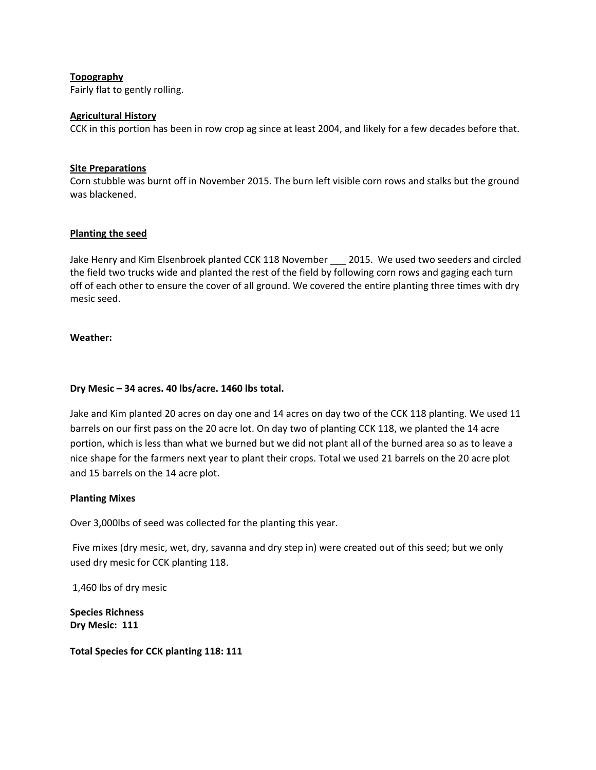# **Topography**

Fairly flat to gently rolling.

## **Agricultural History**

CCK in this portion has been in row crop ag since at least 2004, and likely for a few decades before that.

## **Site Preparations**

Corn stubble was burnt off in November 2015. The burn left visible corn rows and stalks but the ground was blackened.

## **Planting the seed**

Jake Henry and Kim Elsenbroek planted CCK 118 November \_\_\_ 2015. We used two seeders and circled the field two trucks wide and planted the rest of the field by following corn rows and gaging each turn off of each other to ensure the cover of all ground. We covered the entire planting three times with dry mesic seed.

### **Weather:**

## **Dry Mesic – 34 acres. 40 lbs/acre. 1460 lbs total.**

Jake and Kim planted 20 acres on day one and 14 acres on day two of the CCK 118 planting. We used 11 barrels on our first pass on the 20 acre lot. On day two of planting CCK 118, we planted the 14 acre portion, which is less than what we burned but we did not plant all of the burned area so as to leave a nice shape for the farmers next year to plant their crops. Total we used 21 barrels on the 20 acre plot and 15 barrels on the 14 acre plot.

### **Planting Mixes**

Over 3,000lbs of seed was collected for the planting this year.

Five mixes (dry mesic, wet, dry, savanna and dry step in) were created out of this seed; but we only used dry mesic for CCK planting 118.

1,460 lbs of dry mesic

**Species Richness Dry Mesic: 111** 

**Total Species for CCK planting 118: 111**